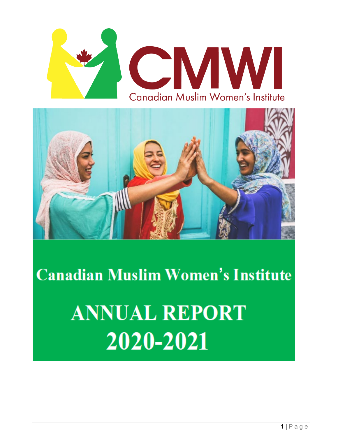



**Canadian Muslim Women's Institute ANNUAL REPORT** 

2020-2021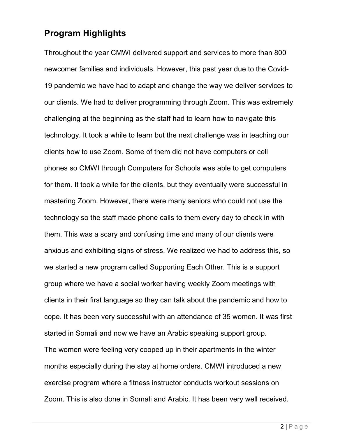## **Program Highlights**

Throughout the year CMWI delivered support and services to more than 800 newcomer families and individuals. However, this past year due to the Covid-19 pandemic we have had to adapt and change the way we deliver services to our clients. We had to deliver programming through Zoom. This was extremely challenging at the beginning as the staff had to learn how to navigate this technology. It took a while to learn but the next challenge was in teaching our clients how to use Zoom. Some of them did not have computers or cell phones so CMWI through Computers for Schools was able to get computers for them. It took a while for the clients, but they eventually were successful in mastering Zoom. However, there were many seniors who could not use the technology so the staff made phone calls to them every day to check in with them. This was a scary and confusing time and many of our clients were anxious and exhibiting signs of stress. We realized we had to address this, so we started a new program called Supporting Each Other. This is a support group where we have a social worker having weekly Zoom meetings with clients in their first language so they can talk about the pandemic and how to cope. It has been very successful with an attendance of 35 women. It was first started in Somali and now we have an Arabic speaking support group. The women were feeling very cooped up in their apartments in the winter months especially during the stay at home orders. CMWI introduced a new exercise program where a fitness instructor conducts workout sessions on Zoom. This is also done in Somali and Arabic. It has been very well received.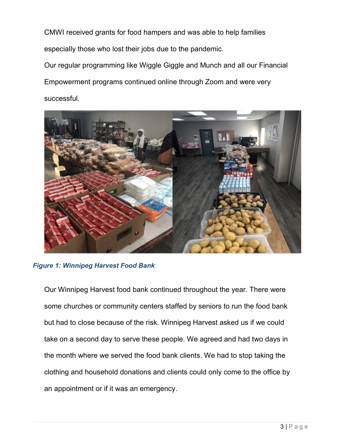CMWI received grants for food hampers and was able to help families especially those who lost their jobs due to the pandemic.

Our regular programming like Wiggle Giggle and Munch and all our Financial Empowerment programs continued online through Zoom and were very successful.



#### *Figure 1: Winnipeg Harvest Food Bank*

Our Winnipeg Harvest food bank continued throughout the year. There were some churches or community centers staffed by seniors to run the food bank but had to close because of the risk. Winnipeg Harvest asked us if we could take on a second day to serve these people. We agreed and had two days in the month where we served the food bank clients. We had to stop taking the clothing and household donations and clients could only come to the office by an appointment or if it was an emergency.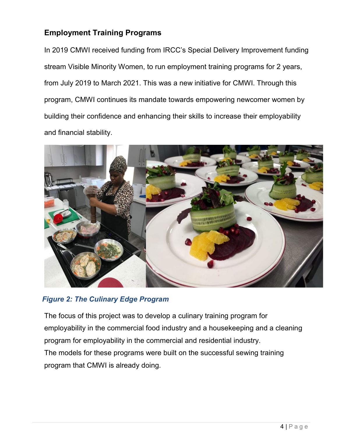#### **Employment Training Programs**

In 2019 CMWI received funding from IRCC's Special Delivery Improvement funding stream Visible Minority Women, to run employment training programs for 2 years, from July 2019 to March 2021. This was a new initiative for CMWI. Through this program, CMWI continues its mandate towards empowering newcomer women by building their confidence and enhancing their skills to increase their employability and financial stability.



#### *Figure 2: The Culinary Edge Program*

The focus of this project was to develop a culinary training program for employability in the commercial food industry and a housekeeping and a cleaning program for employability in the commercial and residential industry. The models for these programs were built on the successful sewing training program that CMWI is already doing.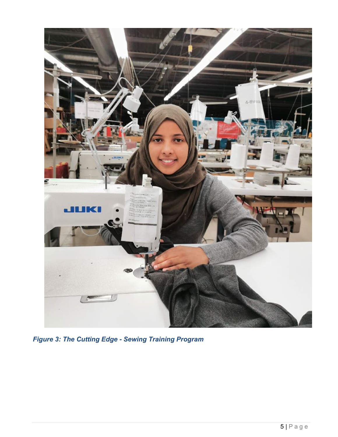

*Figure 3: The Cutting Edge - Sewing Training Program*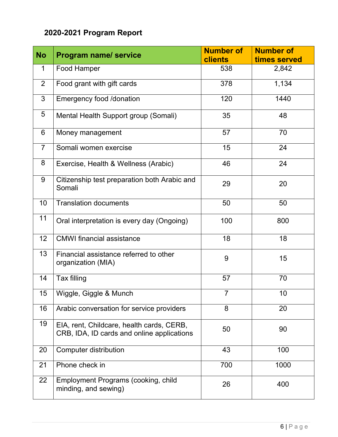# **2020-2021 Program Report**

| <b>No</b>       | <b>Program name/ service</b>                                                            | <b>Number of</b><br><b>clients</b> | <b>Number of</b><br>times served |
|-----------------|-----------------------------------------------------------------------------------------|------------------------------------|----------------------------------|
| 1               | Food Hamper                                                                             | 538                                | 2,842                            |
| 2               | Food grant with gift cards                                                              | 378                                | 1,134                            |
| 3               | <b>Emergency food /donation</b>                                                         | 120                                | 1440                             |
| 5               | Mental Health Support group (Somali)                                                    | 35                                 | 48                               |
| 6               | Money management                                                                        | 57                                 | 70                               |
| $\overline{7}$  | Somali women exercise                                                                   | 15                                 | 24                               |
| 8               | Exercise, Health & Wellness (Arabic)                                                    | 46                                 | 24                               |
| 9               | Citizenship test preparation both Arabic and<br>Somali                                  | 29                                 | 20                               |
| 10              | <b>Translation documents</b>                                                            | 50                                 | 50                               |
| 11              | Oral interpretation is every day (Ongoing)                                              | 100                                | 800                              |
| 12              | <b>CMWI</b> financial assistance                                                        | 18                                 | 18                               |
| 13              | Financial assistance referred to other<br>organization (MIA)                            | 9                                  | 15                               |
| 14              | Tax filling                                                                             | 57                                 | 70                               |
| 15 <sub>1</sub> | Wiggle, Giggle & Munch                                                                  | $\overline{7}$                     | 10                               |
| 16              | Arabic conversation for service providers                                               | 8                                  | 20                               |
| 19              | EIA, rent, Childcare, health cards, CERB,<br>CRB, IDA, ID cards and online applications | 50                                 | 90                               |
| 20              | <b>Computer distribution</b>                                                            | 43                                 | 100                              |
| 21              | Phone check in                                                                          | 700                                | 1000                             |
| 22              | Employment Programs (cooking, child<br>minding, and sewing)                             | 26                                 | 400                              |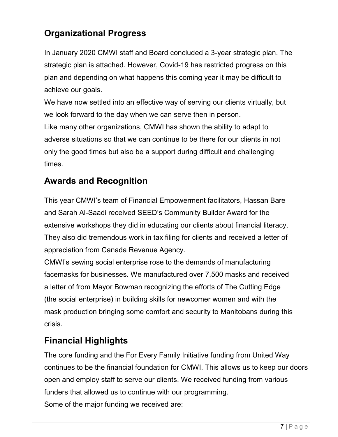# **Organizational Progress**

In January 2020 CMWI staff and Board concluded a 3-year strategic plan. The strategic plan is attached. However, Covid-19 has restricted progress on this plan and depending on what happens this coming year it may be difficult to achieve our goals.

We have now settled into an effective way of serving our clients virtually, but we look forward to the day when we can serve then in person.

Like many other organizations, CMWI has shown the ability to adapt to adverse situations so that we can continue to be there for our clients in not only the good times but also be a support during difficult and challenging times.

### **Awards and Recognition**

This year CMWI's team of Financial Empowerment facilitators, Hassan Bare and Sarah Al-Saadi received SEED's Community Builder Award for the extensive workshops they did in educating our clients about financial literacy. They also did tremendous work in tax filing for clients and received a letter of appreciation from Canada Revenue Agency.

CMWI's sewing social enterprise rose to the demands of manufacturing facemasks for businesses. We manufactured over 7,500 masks and received a letter of from Mayor Bowman recognizing the efforts of The Cutting Edge (the social enterprise) in building skills for newcomer women and with the mask production bringing some comfort and security to Manitobans during this crisis.

## **Financial Highlights**

The core funding and the For Every Family Initiative funding from United Way continues to be the financial foundation for CMWI. This allows us to keep our doors open and employ staff to serve our clients. We received funding from various funders that allowed us to continue with our programming.

Some of the major funding we received are: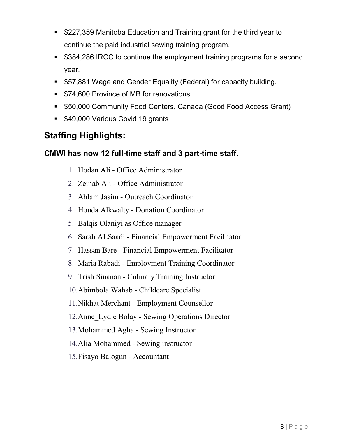- **5227,359 Manitoba Education and Training grant for the third year to** continue the paid industrial sewing training program.
- \$384,286 IRCC to continue the employment training programs for a second year.
- **557,881 Wage and Gender Equality (Federal) for capacity building.**
- **574,600 Province of MB for renovations.**
- \$50,000 Community Food Centers, Canada (Good Food Access Grant)
- **549,000 Various Covid 19 grants**

### **Staffing Highlights:**

#### **CMWI has now 12 full-time staff and 3 part-time staff.**

- 1. Hodan Ali Office Administrator
- 2. Zeinab Ali Office Administrator
- 3. Ahlam Jasim Outreach Coordinator
- 4. Houda Alkwalty Donation Coordinator
- 5. Balqis Olaniyi as Office manager
- 6. Sarah ALSaadi Financial Empowerment Facilitator
- 7. Hassan Bare Financial Empowerment Facilitator
- 8. Maria Rabadi Employment Training Coordinator
- 9. Trish Sinanan Culinary Training Instructor
- 10.Abimbola Wahab Childcare Specialist
- 11.Nikhat Merchant Employment Counsellor
- 12.Anne\_Lydie Bolay Sewing Operations Director
- 13.Mohammed Agha Sewing Instructor
- 14.Alia Mohammed Sewing instructor
- 15.Fisayo Balogun Accountant